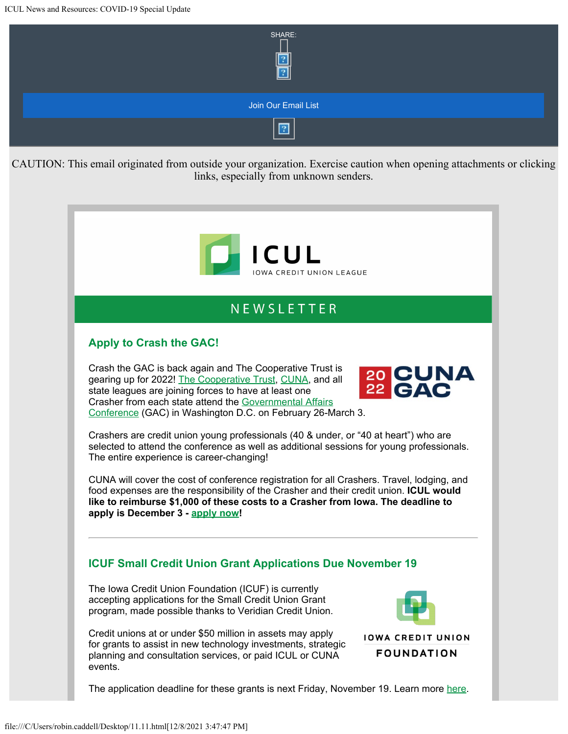

# NEWSLETTER

## **Apply to Crash the GAC!**

Crash the GAC is back again and The Cooperative Trust is gearing up for 2022! [The Cooperative Trust](https://info.iowacreditunions.com/e/821233/cdgTmsI2NMQtgqylqfkjLsSEsxlQ--/427gw/296209904?h=YKHPaDgYRUwQipbIKCvxS3nUNPJTGtx-boRq5bdUFQ0), [CUNA](https://info.iowacreditunions.com/e/821233/cdgTmsI2NMQtgqylqfkjLsSEsxlQ--/427gy/296209904?h=YKHPaDgYRUwQipbIKCvxS3nUNPJTGtx-boRq5bdUFQ0), and all state leagues are joining forces to have at least one Crasher from each state attend the [Governmental Affairs](https://info.iowacreditunions.com/e/821233/ntalaffairsconference2022-html/427h1/296209904?h=YKHPaDgYRUwQipbIKCvxS3nUNPJTGtx-boRq5bdUFQ0) [Conference](https://info.iowacreditunions.com/e/821233/ntalaffairsconference2022-html/427h1/296209904?h=YKHPaDgYRUwQipbIKCvxS3nUNPJTGtx-boRq5bdUFQ0) (GAC) in Washington D.C. on February 26-March 3.

20 CUNA<br>22 GAC

Crashers are credit union young professionals (40 & under, or "40 at heart") who are selected to attend the conference as well as additional sessions for young professionals. The entire experience is career-changing!

CUNA will cover the cost of conference registration for all Crashers. Travel, lodging, and food expenses are the responsibility of the Crasher and their credit union. **ICUL would like to reimburse \$1,000 of these costs to a Crasher from Iowa. The deadline to apply is December 3 - [apply now](https://info.iowacreditunions.com/e/821233/events-crash-the-gac-2022/427h3/296209904?h=YKHPaDgYRUwQipbIKCvxS3nUNPJTGtx-boRq5bdUFQ0)!**

#### **ICUF Small Credit Union Grant Applications Due November 19**

The Iowa Credit Union Foundation (ICUF) is currently accepting applications for the Small Credit Union Grant program, made possible thanks to Veridian Credit Union.

Credit unions at or under \$50 million in assets may apply for grants to assist in new technology investments, strategic planning and consultation services, or paid ICUL or CUNA events.



**IOWA CREDIT UNION FOUNDATION** 

The application deadline for these grants is next Friday, November 19. Learn more [here](https://info.iowacreditunions.com/e/821233/3iDgiy0/427h5/296209904?h=YKHPaDgYRUwQipbIKCvxS3nUNPJTGtx-boRq5bdUFQ0).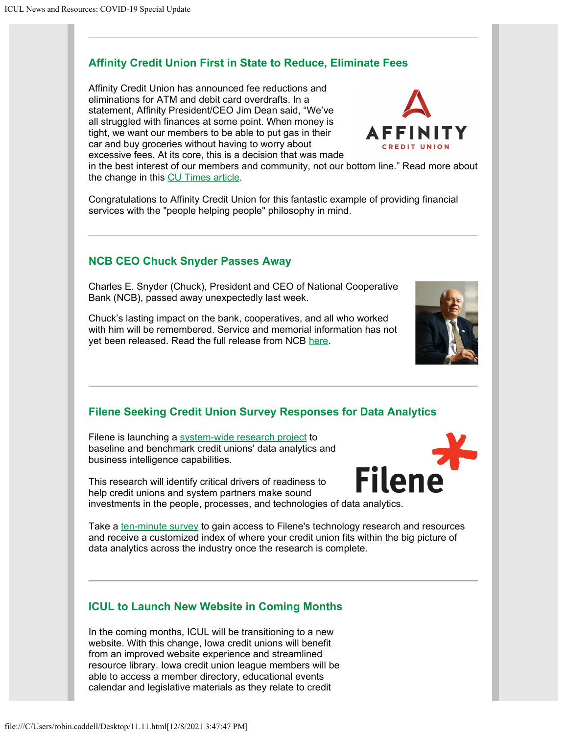## **Affinity Credit Union First in State to Reduce, Eliminate Fees**

Affinity Credit Union has announced fee reductions and eliminations for ATM and debit card overdrafts. In a statement, Affinity President/CEO Jim Dean said, "We've all struggled with finances at some point. When money is tight, we want our members to be able to put gas in their car and buy groceries without having to worry about excessive fees. At its core, this is a decision that was made



Congratulations to Affinity Credit Union for this fantastic example of providing financial services with the "people helping people" philosophy in mind.

#### **NCB CEO Chuck Snyder Passes Away**

Charles E. Snyder (Chuck), President and CEO of National Cooperative Bank (NCB), passed away unexpectedly last week.

Chuck's lasting impact on the bank, cooperatives, and all who worked with him will be remembered. Service and memorial information has not yet been released. Read the full release from NCB [here](https://info.iowacreditunions.com/e/821233/mourn-the-loss-of-a-co-op-hero/427h9/296209904?h=YKHPaDgYRUwQipbIKCvxS3nUNPJTGtx-boRq5bdUFQ0).

## **Filene Seeking Credit Union Survey Responses for Data Analytics**

Filene is launching a [system-wide research project](https://info.iowacreditunions.com/e/821233/survey-share-promo-11-2021-pdf/427hc/296209904?h=YKHPaDgYRUwQipbIKCvxS3nUNPJTGtx-boRq5bdUFQ0) to baseline and benchmark credit unions' data analytics and business intelligence capabilities.

This research will identify critical drivers of readiness to help credit unions and system partners make sound

investments in the people, processes, and technologies of data analytics.

Take a [ten-minute survey](https://info.iowacreditunions.com/e/821233/analytics-readiness-assessment/427hf/296209904?h=YKHPaDgYRUwQipbIKCvxS3nUNPJTGtx-boRq5bdUFQ0) to gain access to Filene's technology research and resources and receive a customized index of where your credit union fits within the big picture of data analytics across the industry once the research is complete.

#### **ICUL to Launch New Website in Coming Months**

In the coming months, ICUL will be transitioning to a new website. With this change, Iowa credit unions will benefit from an improved website experience and streamlined resource library. Iowa credit union league members will be able to access a member directory, educational events calendar and legislative materials as they relate to credit



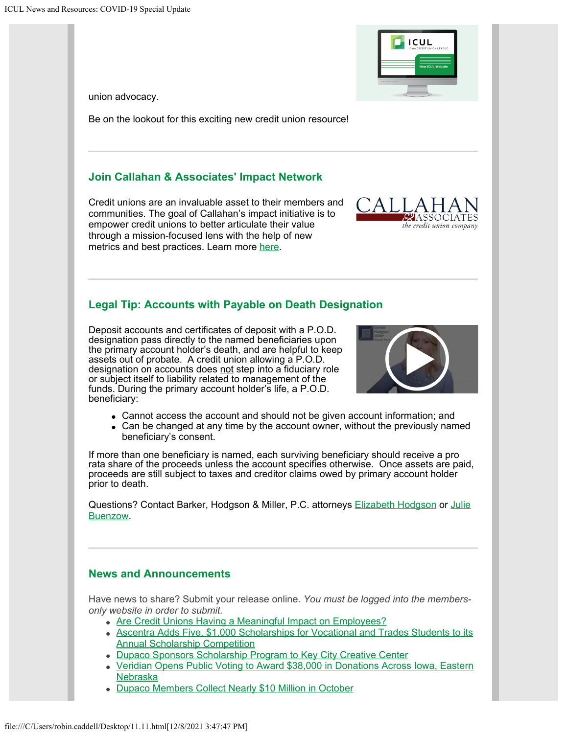union advocacy.

Be on the lookout for this exciting new credit union resource!

## **Join Callahan & Associates' Impact Network**

Credit unions are an invaluable asset to their members and communities. The goal of Callahan's impact initiative is to empower credit unions to better articulate their value through a mission-focused lens with the help of new metrics and best practices. Learn more [here](https://info.iowacreditunions.com/e/821233/pBoPKsEB4oLlmL7Cal26hsEbOpMeL9/427hh/296209904?h=YKHPaDgYRUwQipbIKCvxS3nUNPJTGtx-boRq5bdUFQ0).

## **Legal Tip: Accounts with Payable on Death Designation**

Deposit accounts and certificates of deposit with a P.O.D. designation pass directly to the named beneficiaries upon the primary account holder's death, and are helpful to keep assets out of probate. A credit union allowing a P.O.D. designation on accounts does not step into a fiduciary role or subject itself to liability related to management of the funds. During the primary account holder's life, a P.O.D. beneficiary:

- Cannot access the account and should not be given account information; and
- Can be changed at any time by the account owner, without the previously named beneficiary's consent.

If more than one beneficiary is named, each surviving beneficiary should receive a pro rata share of the proceeds unless the account specifies otherwise. Once assets are paid, proceeds are still subject to taxes and creditor claims owed by primary account holder prior to death.

Questions? Contact Barker, Hodgson & Miller, P.C. attorneys [Elizabeth Hodgson](mailto:Elizabeth.Hodgson@amcattorneys.com) or [Julie](mailto:Julie.Buenzow@amcattorneys.com) [Buenzow](mailto:Julie.Buenzow@amcattorneys.com).

## **News and Announcements**

Have news to share? Submit your release online. *You must be logged into the membersonly website in order to submit.*

- [Are Credit Unions Having a Meaningful Impact on Employees?](https://info.iowacreditunions.com/e/821233/-aspx-newsdetail-aspx-id-12916/427hm/296209904?h=YKHPaDgYRUwQipbIKCvxS3nUNPJTGtx-boRq5bdUFQ0)
- [Ascentra Adds Five, \\$1,000 Scholarships for Vocational and Trades Students to its](https://info.iowacreditunions.com/e/821233/ewsreleasesdetail-aspx-Id-7662/427hp/296209904?h=YKHPaDgYRUwQipbIKCvxS3nUNPJTGtx-boRq5bdUFQ0) [Annual Scholarship Competition](https://info.iowacreditunions.com/e/821233/ewsreleasesdetail-aspx-Id-7662/427hp/296209904?h=YKHPaDgYRUwQipbIKCvxS3nUNPJTGtx-boRq5bdUFQ0)
- [Dupaco Sponsors Scholarship Program to Key City Creative Center](https://info.iowacreditunions.com/e/821233/ewsreleasesdetail-aspx-Id-7663/427hr/296209904?h=YKHPaDgYRUwQipbIKCvxS3nUNPJTGtx-boRq5bdUFQ0)
- [Veridian Opens Public Voting to Award \\$38,000 in Donations Across Iowa, Eastern](https://info.iowacreditunions.com/e/821233/ewsreleasesdetail-aspx-Id-7664/427ht/296209904?h=YKHPaDgYRUwQipbIKCvxS3nUNPJTGtx-boRq5bdUFQ0) [Nebraska](https://info.iowacreditunions.com/e/821233/ewsreleasesdetail-aspx-Id-7664/427ht/296209904?h=YKHPaDgYRUwQipbIKCvxS3nUNPJTGtx-boRq5bdUFQ0)
- [Dupaco Members Collect Nearly \\$10 Million in October](https://info.iowacreditunions.com/e/821233/ewsreleasesdetail-aspx-Id-7661/427hw/296209904?h=YKHPaDgYRUwQipbIKCvxS3nUNPJTGtx-boRq5bdUFQ0)